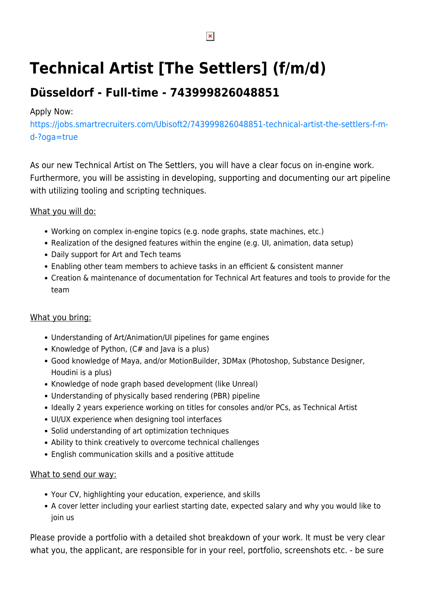# **Technical Artist [The Settlers] (f/m/d)**

# **Düsseldorf - Full-time - 743999826048851**

# Apply Now:

[https://jobs.smartrecruiters.com/Ubisoft2/743999826048851-technical-artist-the-settlers-f-m](https://jobs.smartrecruiters.com/Ubisoft2/743999826048851-technical-artist-the-settlers-f-m-d-?oga=true)[d-?oga=true](https://jobs.smartrecruiters.com/Ubisoft2/743999826048851-technical-artist-the-settlers-f-m-d-?oga=true)

As our new Technical Artist on The Settlers, you will have a clear focus on in-engine work. Furthermore, you will be assisting in developing, supporting and documenting our art pipeline with utilizing tooling and scripting techniques.

#### What you will do:

- Working on complex in-engine topics (e.g. node graphs, state machines, etc.)
- Realization of the designed features within the engine (e.g. UI, animation, data setup)
- Daily support for Art and Tech teams
- Enabling other team members to achieve tasks in an efficient & consistent manner
- Creation & maintenance of documentation for Technical Art features and tools to provide for the team

# What you bring:

- Understanding of Art/Animation/UI pipelines for game engines
- Knowledge of Python,  $(C#$  and Java is a plus)
- Good knowledge of Maya, and/or MotionBuilder, 3DMax (Photoshop, Substance Designer, Houdini is a plus)
- Knowledge of node graph based development (like Unreal)
- Understanding of physically based rendering (PBR) pipeline
- Ideally 2 years experience working on titles for consoles and/or PCs, as Technical Artist
- UI/UX experience when designing tool interfaces
- Solid understanding of art optimization techniques
- Ability to think creatively to overcome technical challenges
- English communication skills and a positive attitude

#### What to send our way:

- Your CV, highlighting your education, experience, and skills
- A cover letter including your earliest starting date, expected salary and why you would like to join us

Please provide a portfolio with a detailed shot breakdown of your work. It must be very clear what you, the applicant, are responsible for in your reel, portfolio, screenshots etc. - be sure

 $\pmb{\times}$